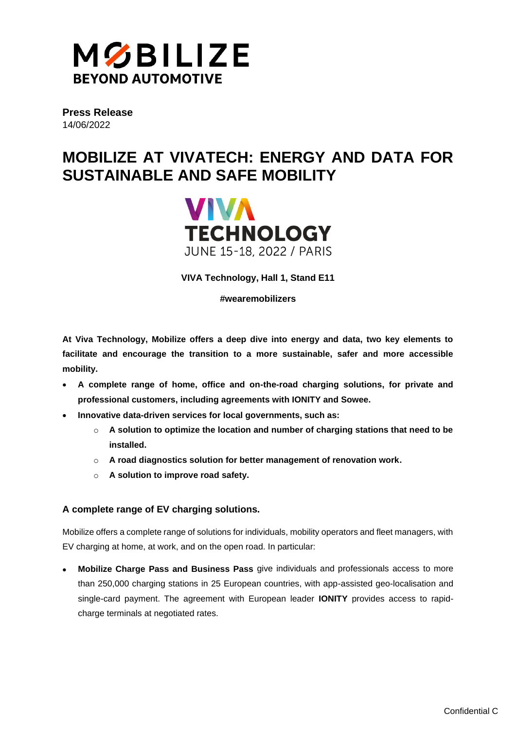

**Press Release** 14/06/2022

# **MOBILIZE AT VIVATECH: ENERGY AND DATA FOR SUSTAINABLE AND SAFE MOBILITY**



**VIVA Technology, Hall 1, Stand E11**

**#wearemobilizers**

**At Viva Technology, Mobilize offers a deep dive into energy and data, two key elements to facilitate and encourage the transition to a more sustainable, safer and more accessible mobility.**

- **A complete range of home, office and on-the-road charging solutions, for private and professional customers, including agreements with IONITY and Sowee.**
- **Innovative data-driven services for local governments, such as:**
	- o **A solution to optimize the location and number of charging stations that need to be installed.**
	- o **A road diagnostics solution for better management of renovation work.**
	- o **A solution to improve road safety.**

## **A complete range of EV charging solutions.**

Mobilize offers a complete range of solutions for individuals, mobility operators and fleet managers, with EV charging at home, at work, and on the open road. In particular:

• **Mobilize Charge Pass and Business Pass** give individuals and professionals access to more than 250,000 charging stations in 25 European countries, with app-assisted geo-localisation and single-card payment. The agreement with European leader **IONITY** provides access to rapidcharge terminals at negotiated rates.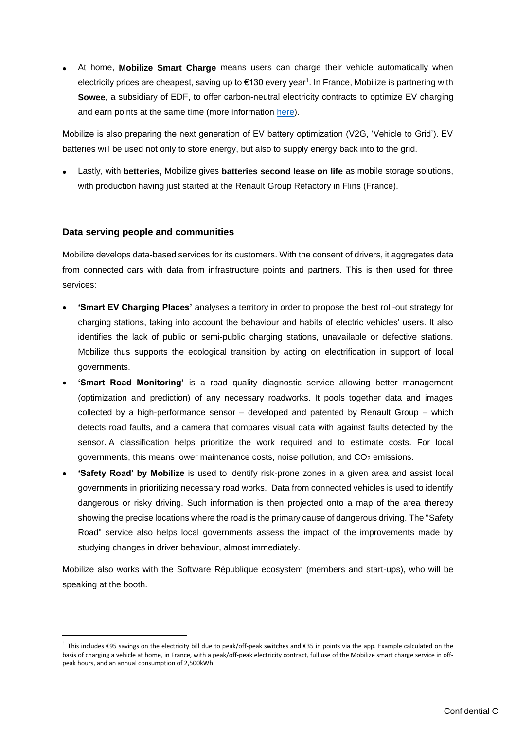• At home, **Mobilize Smart Charge** means users can charge their vehicle automatically when electricity prices are cheapest, saving up to  $\epsilon$ 130 every year<sup>1</sup>. In France, Mobilize is partnering with **Sowee**, a subsidiary of EDF, to offer carbon-neutral electricity contracts to optimize EV charging and earn points at the same time (more information [here\)](https://fr.media.mobilize.com/actualites/avec-mobilize-et-sowee-renault-group-et-le-groupe-edf-innovent-pour-optimiser-la-facture-energetique-des-particuliers-8a9d-e3532.html).

Mobilize is also preparing the next generation of EV battery optimization (V2G, 'Vehicle to Grid'). EV batteries will be used not only to store energy, but also to supply energy back into to the grid.

• Lastly, with **betteries,** Mobilize gives **batteries second lease on life** as mobile storage solutions, with production having just started at the Renault Group Refactory in Flins (France).

### **Data serving people and communities**

Mobilize develops data-based services for its customers. With the consent of drivers, it aggregates data from connected cars with data from infrastructure points and partners. This is then used for three services:

- **'Smart EV Charging Places'** analyses a territory in order to propose the best roll-out strategy for charging stations, taking into account the behaviour and habits of electric vehicles' users. It also identifies the lack of public or semi-public charging stations, unavailable or defective stations. Mobilize thus supports the ecological transition by acting on electrification in support of local governments.
- **'Smart Road Monitoring'** is a road quality diagnostic service allowing better management (optimization and prediction) of any necessary roadworks. It pools together data and images collected by a high-performance sensor – developed and patented by Renault Group – which detects road faults, and a camera that compares visual data with against faults detected by the sensor. A classification helps prioritize the work required and to estimate costs. For local governments, this means lower maintenance costs, noise pollution, and  $CO<sub>2</sub>$  emissions.
- **'Safety Road' by Mobilize** is used to identify risk-prone zones in a given area and assist local governments in prioritizing necessary road works. Data from connected vehicles is used to identify dangerous or risky driving. Such information is then projected onto a map of the area thereby showing the precise locations where the road is the primary cause of dangerous driving. The "Safety Road" service also helps local governments assess the impact of the improvements made by studying changes in driver behaviour, almost immediately.

Mobilize also works with the Software République ecosystem (members and start-ups), who will be speaking at the booth.

<sup>&</sup>lt;sup>1</sup> This includes €95 savings on the electricity bill due to peak/off-peak switches and €35 in points via the app. Example calculated on the basis of charging a vehicle at home, in France, with a peak/off-peak electricity contract, full use of the Mobilize smart charge service in offpeak hours, and an annual consumption of 2,500kWh.